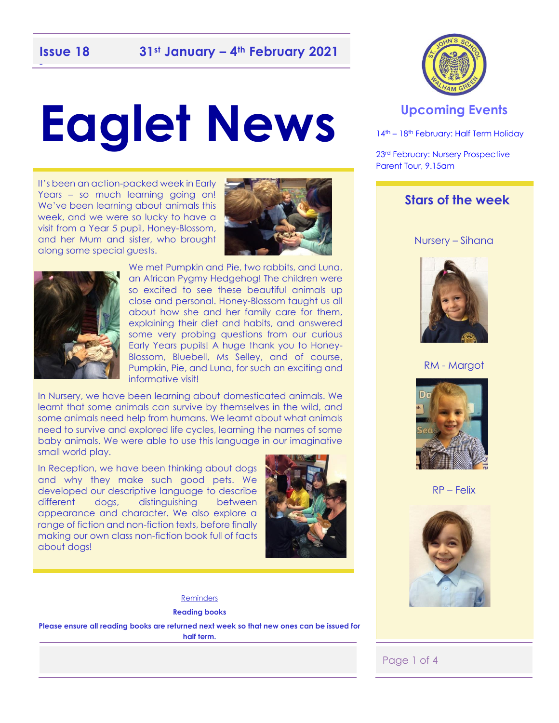## -

# **Eaglet News**

It's been an action-packed week in Early Years – so much learning going on! We've been learning about animals this week, and we were so lucky to have a visit from a Year 5 pupil, Honey-Blossom, and her Mum and sister, who brought along some special guests.





We met Pumpkin and Pie, two rabbits, and Luna, an African Pygmy Hedgehog! The children were so excited to see these beautiful animals up close and personal. Honey-Blossom taught us all about how she and her family care for them, explaining their diet and habits, and answered some very probing questions from our curious Early Years pupils! A huge thank you to Honey-Blossom, Bluebell, Ms Selley, and of course, Pumpkin, Pie, and Luna, for such an exciting and informative visit!

In Nursery, we have been learning about domesticated animals. We learnt that some animals can survive by themselves in the wild, and some animals need help from humans. We learnt about what animals need to survive and explored life cycles, learning the names of some baby animals. We were able to use this language in our imaginative small world play.

In Reception, we have been thinking about dogs and why they make such good pets. We developed our descriptive language to describe different dogs, distinguishing between appearance and character. We also explore a range of fiction and non-fiction texts, before finally making our own class non-fiction book full of facts about dogs!



#### **Reminders**

**Reading books** 

**Please ensure all reading books are returned next week so that new ones can be issued for half term.** 



#### **Upcoming Events**

14<sup>th</sup> – 18<sup>th</sup> February: Half Term Holiday

23rd February: Nursery Prospective Parent Tour, 9.15am

#### **Stars of the week**

Nursery – Sihana



RM - Margot



RP – Felix



Page 1 of 4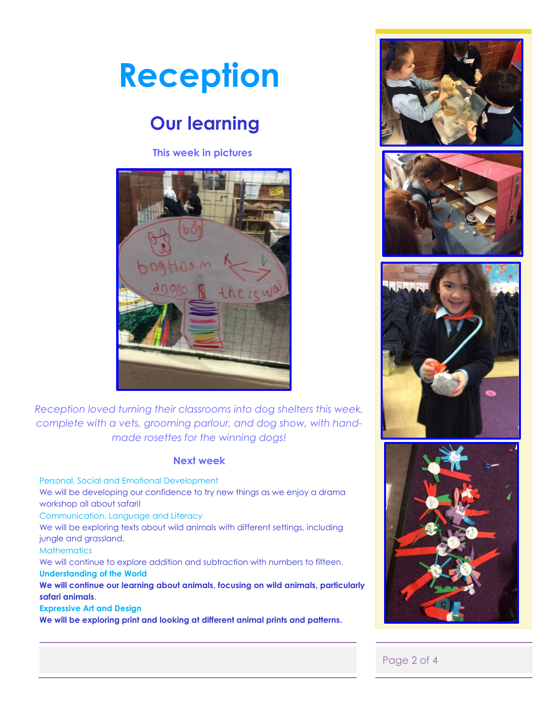

## **Our learning**

**This week in pictures**



*Reception loved turning their classrooms into dog shelters this week, complete with a vets, grooming parlour, and dog show, with handmade rosettes for the winning dogs!* 

#### **Next week**

Personal, Social and Emotional Development We will be developing our confidence to try new things as we enjoy a drama workshop all about safari! Communication, Language and Literacy We will be exploring texts about wild animals with different settings, including jungle and grassland. **Mathematics** We will continue to explore addition and subtraction with numbers to fifteen. **Understanding of the World We will continue our learning about animals, focusing on wild animals, particularly safari animals**. **Expressive Art and Design We will be exploring print and looking at different animal prints and patterns.** 









#### Page 2 of 4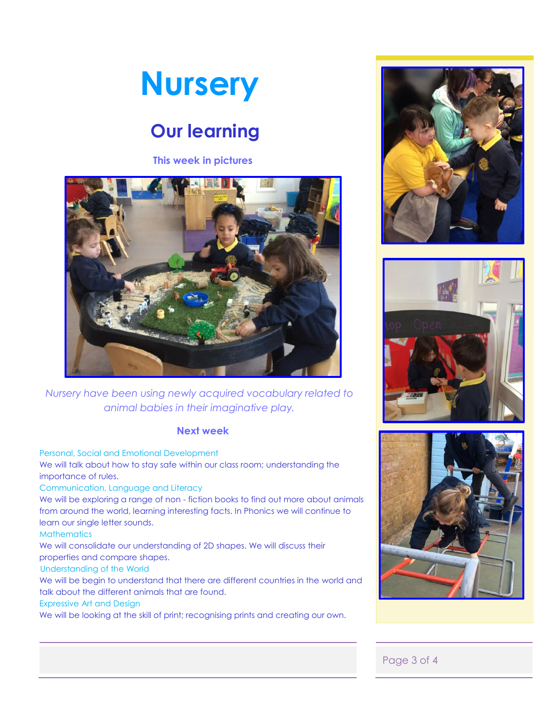

### **Our learning**

**This week in pictures**



*Nursery have been using newly acquired vocabulary related to animal babies in their imaginative play.* 

#### **Next week**

Personal, Social and Emotional Development We will talk about how to stay safe within our class room; understanding the importance of rules. Communication, Language and Literacy We will be exploring a range of non - fiction books to find out more about animals from around the world, learning interesting facts. In Phonics we will continue to learn our single letter sounds. **Mathematics** We will consolidate our understanding of 2D shapes. We will discuss their properties and compare shapes. Understanding of the World We will be begin to understand that there are different countries in the world and talk about the different animals that are found. Expressive Art and Design We will be looking at the skill of print; recognising prints and creating our own.







#### Page 3 of 4